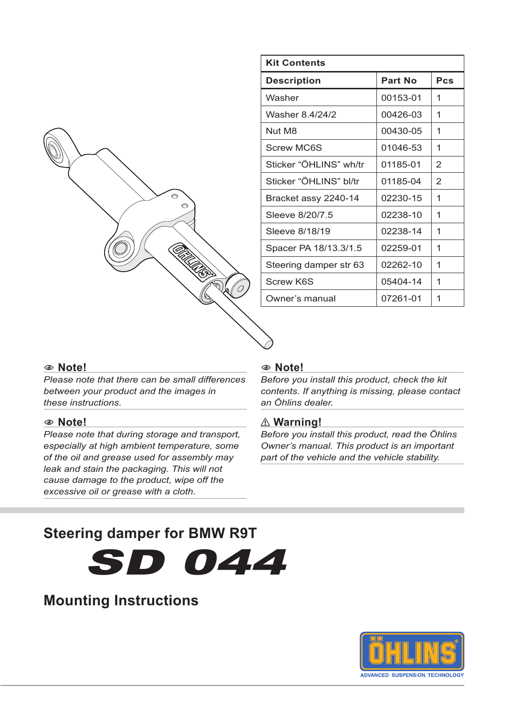|  | ⊝<br>⊝ |  |
|--|--------|--|
|  |        |  |
|  |        |  |

| <b>Kit Contents</b>    |          |     |  |  |
|------------------------|----------|-----|--|--|
| <b>Description</b>     | Part No  | Pcs |  |  |
| Washer                 | 00153-01 | 1   |  |  |
| Washer 8.4/24/2        | 00426-03 | 1   |  |  |
| Nut M8                 | 00430-05 | 1   |  |  |
| <b>Screw MC6S</b>      | 01046-53 | 1   |  |  |
| Sticker "ÖHLINS" wh/tr | 01185-01 | 2   |  |  |
| Sticker "ÖHLINS" bl/tr | 01185-04 | 2   |  |  |
| Bracket assy 2240-14   | 02230-15 | 1   |  |  |
| Sleeve 8/20/7.5        | 02238-10 | 1   |  |  |
| Sleeve 8/18/19         | 02238-14 | 1   |  |  |
| Spacer PA 18/13.3/1.5  | 02259-01 | 1   |  |  |
| Steering damper str 63 | 02262-10 | 1   |  |  |
| Screw K6S              | 05404-14 | 1   |  |  |
| Owner's manual         | 07261-01 | 1   |  |  |

#### 1 **Note!**

*Please note that there can be small differences between your product and the images in these instructions.*

#### 1 **Note!**

*Please note that during storage and transport, especially at high ambient temperature, some of the oil and grease used for assembly may leak and stain the packaging. This will not cause damage to the product, wipe off the excessive oil or grease with a cloth.*

#### 1 **Note!**

*Before you install this product, check the kit contents. If anything is missing, please contact an Öhlins dealer.*

#### ⚠**⚠ Warning!**

*Before you install this product, read the Öhlins Owner's manual. This product is an important part of the vehicle and the vehicle stability.*

## **Steering damper for BMW R9T**

SD 044

## **Mounting Instructions**

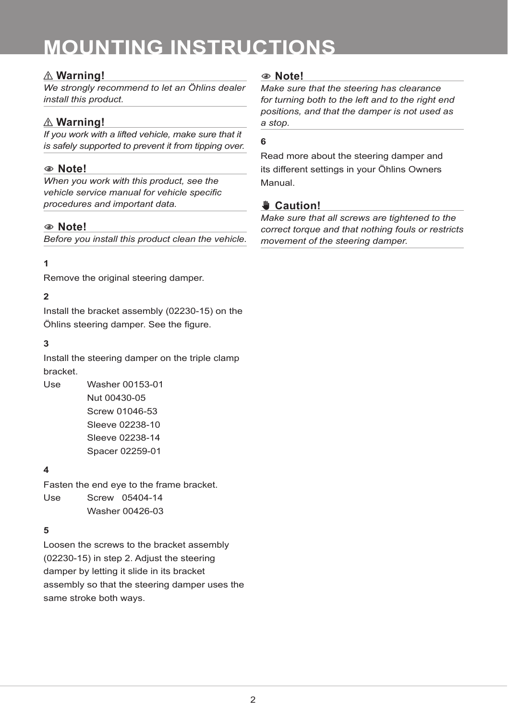# **MOUNTING INSTRUCTIONS**

## ⚠**⚠ Warning!**

*We strongly recommend to let an Öhlins dealer install this product.*

## ⚠**⚠ Warning!**

*If you work with a lifted vehicle, make sure that it is safely supported to prevent it from tipping over.*

## 1 **Note!**

*When you work with this product, see the vehicle service manual for vehicle specific procedures and important data.*

#### 1 **Note!**

*Before you install this product clean the vehicle.*

## **1**

Remove the original steering damper.

### **2**

Install the bracket assembly (02230-15) on the Öhlins steering damper. See the figure.

#### **3**

Install the steering damper on the triple clamp bracket.

Use Washer 00153-01 Nut 00430-05 Screw 01046-53 Sleeve 02238-10 Sleeve 02238-14 Spacer 02259-01

#### **4**

Fasten the end eye to the frame bracket. Use Screw 05404-14 Washer 00426-03

#### **5**

Loosen the screws to the bracket assembly (02230-15) in step 2. Adjust the steering damper by letting it slide in its bracket assembly so that the steering damper uses the same stroke both ways.

#### 1 **Note!**

*Make sure that the steering has clearance for turning both to the left and to the right end positions, and that the damper is not used as a stop.*

#### **6**

Read more about the steering damper and its different settings in your Öhlins Owners Manual.

## ✋**✋ Caution!**

*Make sure that all screws are tightened to the correct torque and that nothing fouls or restricts movement of the steering damper.*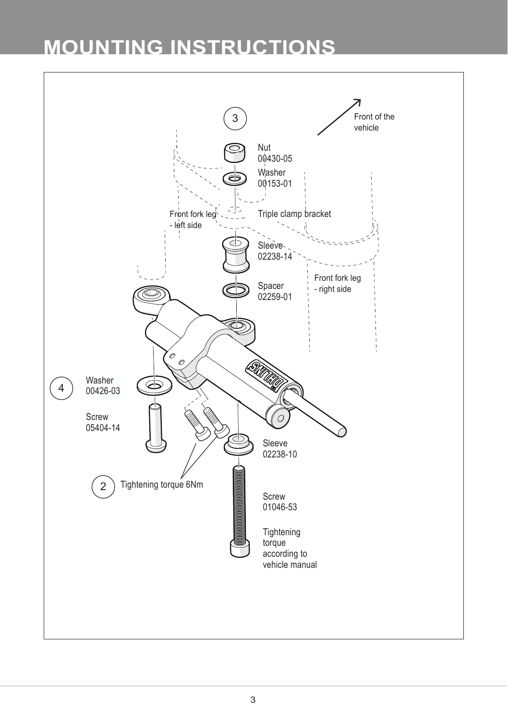# **MOUNTING INSTRUCTIONS**